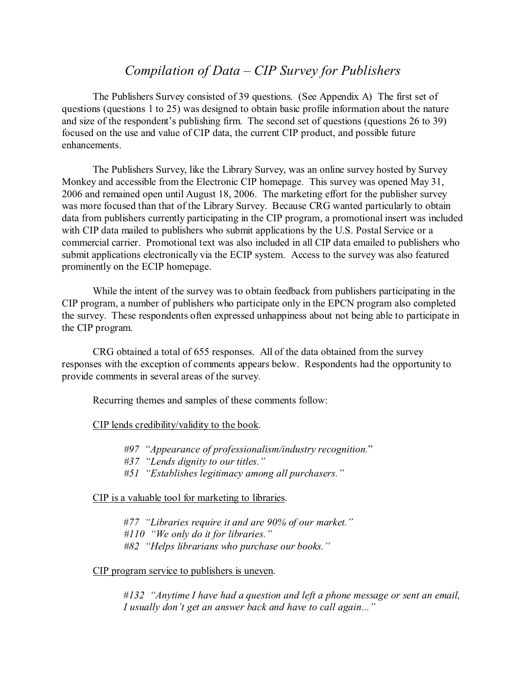# *Compilation of Data – CIP Survey for Publishers*

The Publishers Survey consisted of 39 questions. (See Appendix A) The first set of questions (questions 1 to 25) was designed to obtain basic profile information about the nature and size of the respondent's publishing firm. The second set of questions (questions 26 to 39) focused on the use and value of CIP data, the current CIP product, and possible future enhancements.

The Publishers Survey, like the Library Survey, was an online survey hosted by Survey Monkey and accessible from the Electronic CIP homepage. This survey was opened May 31, 2006 and remained open until August 18, 2006. The marketing effort for the publisher survey was more focused than that of the Library Survey. Because CRG wanted particularly to obtain data from publishers currently participating in the CIP program, a promotional insert was included with CIP data mailed to publishers who submit applications by the U.S. Postal Service or a commercial carrier. Promotional text was also included in all CIP data emailed to publishers who submit applications electronically via the ECIP system. Access to the survey was also featured prominently on the ECIP homepage.

While the intent of the survey was to obtain feedback from publishers participating in the CIP program, a number of publishers who participate only in the EPCN program also completed the survey. These respondents often expressed unhappiness about not being able to participate in the CIP program.

CRG obtained a total of 655 responses. All of the data obtained from the survey responses with the exception of comments appears below. Respondents had the opportunity to provide comments in several areas of the survey.

Recurring themes and samples of these comments follow:

#### CIP lends credibility/validity to the book.

*#97 "Appearance of professionalism/industry recognition.*"

- *#37 "Lends dignity to our titles."*
- *#51 "Establishes legitimacy among all purchasers."*

CIP is a valuable tool for marketing to libraries.

#*77 "Libraries require it and are 90% of our market." #110 "We only do it for libraries." #82 "Helps librarians who purchase our books."*

#### CIP program service to publishers is uneven.

#*132 "Anytime I have had a question and left a phone message or sent an email, I usually don't get an answer back and have to call again..."*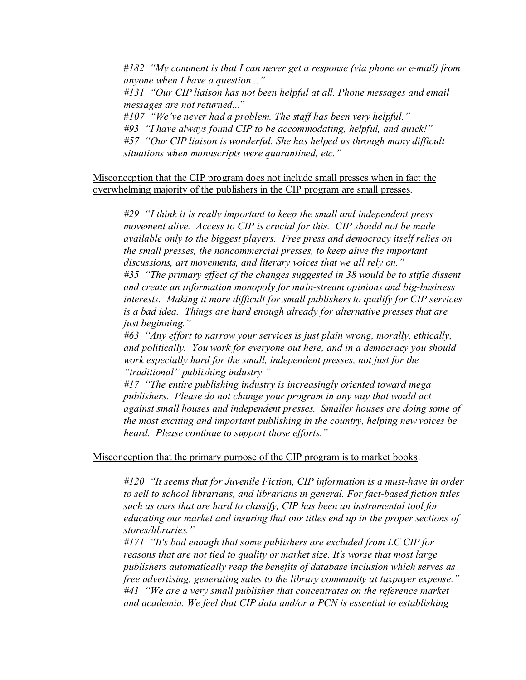#*182 "My comment is that I can never get a response (via phone or e-mail) from anyone when I have a question..."*

*#131 "Our CIP liaison has not been helpful at all. Phone messages and email messages are not returned...*"

#*107 "We've never had a problem. The staff has been very helpful."*

*#93 "I have always found CIP to be accommodating, helpful, and quick!"*

*#57 "Our CIP liaison is wonderful. She has helped us through many difficult situations when manuscripts were quarantined, etc."*

Misconception that the CIP program does not include small presses when in fact the overwhelming majority of the publishers in the CIP program are small presses.

*#29 "I think it is really important to keep the small and independent press movement alive. Access to CIP is crucial for this. CIP should not be made available only to the biggest players. Free press and democracy itself relies on the small presses, the noncommercial presses, to keep alive the important discussions, art movements, and literary voices that we all rely on." #35 "The primary effect of the changes suggested in 38 would be to stifle dissent*

*and create an information monopoly for main-stream opinions and big-business interests. Making it more difficult for small publishers to qualify for CIP services is a bad idea. Things are hard enough already for alternative presses that are just beginning."*

*#63 "Any effort to narrow your services is just plain wrong, morally, ethically, and politically. You work for everyone out here, and in a democracy you should work especially hard for the small, independent presses, not just for the "traditional" publishing industry."*

*#17 "The entire publishing industry is increasingly oriented toward mega publishers. Please do not change your program in any way that would act against small houses and independent presses. Smaller houses are doing some of the most exciting and important publishing in the country, helping new voices be heard. Please continue to support those efforts."*

#### Misconception that the primary purpose of the CIP program is to market books.

*#120 "It seems that for Juvenile Fiction, CIP information is a must-have in order to sell to school librarians, and librarians in general. For fact-based fiction titles such as ours that are hard to classify, CIP has been an instrumental tool for educating our market and insuring that our titles end up in the proper sections of stores/libraries."*

*#171 "It's bad enough that some publishers are excluded from LC CIP for reasons that are not tied to quality or market size. It's worse that most large publishers automatically reap the benefits of database inclusion which serves as free advertising, generating sales to the library community at taxpayer expense." #41 "We are a very small publisher that concentrates on the reference market and academia. We feel that CIP data and/or a PCN is essential to establishing*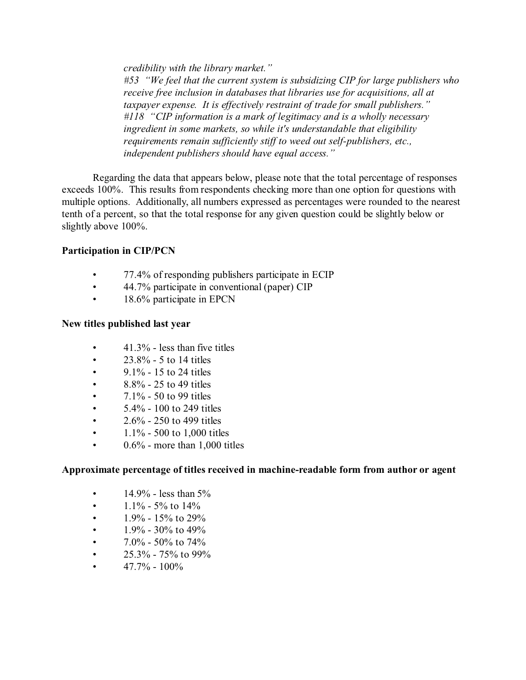*credibility with the library market."*

*#53 "We feel that the current system is subsidizing CIP for large publishers who receive free inclusion in databases that libraries use for acquisitions, all at taxpayer expense. It is effectively restraint of trade for small publishers." #118 "CIP information is a mark of legitimacy and is a wholly necessary ingredient in some markets, so while it's understandable that eligibility requirements remain sufficiently stiff to weed out self-publishers, etc., independent publishers should have equal access."* 

Regarding the data that appears below, please note that the total percentage of responses exceeds 100%. This results from respondents checking more than one option for questions with multiple options. Additionally, all numbers expressed as percentages were rounded to the nearest tenth of a percent, so that the total response for any given question could be slightly below or slightly above 100%.

## **Participation in CIP/PCN**

- 77.4% of responding publishers participate in ECIP
- 44.7% participate in conventional (paper) CIP
- 18.6% participate in EPCN

## **New titles published last year**

- $41.3\%$  less than five titles
- $23.8\%$  5 to 14 titles
- 9.1% 15 to 24 titles
- $8.8\%$  25 to 49 titles
- $7.1\%$  50 to 99 titles
- 5.4% 100 to 249 titles
- $2.6\%$  250 to 499 titles
- $1.1\%$  500 to 1,000 titles
- $0.6\%$  more than 1,000 titles

## **Approximate percentage of titles received in machine-readable form from author or agent**

- $14.9\%$  less than  $5\%$
- $1.1\%$  5% to 14%
- $1.9\%$  15% to 29%
- $1.9\%$  30% to 49%
- 7.0% 50% to 74%
- 25.3% 75% to 99%
- 47.7% 100%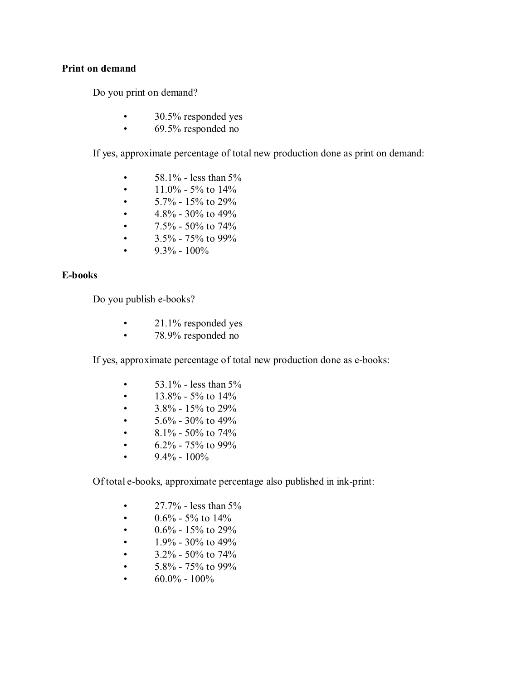### **Print on demand**

Do you print on demand?

- 30.5% responded yes
- 69.5% responded no

If yes, approximate percentage of total new production done as print on demand:

- $58.1\%$  less than  $5\%$
- $11.0\%$  5% to 14%
- $5.7\% 15\%$  to 29%
- $4.8\%$  30% to 49%
- 7.5% 50% to 74%
- 3.5% 75% to 99%
- 9.3%  $100\%$

#### **E-books**

Do you publish e-books?

- 21.1% responded yes
- 78.9% responded no

If yes, approximate percentage of total new production done as e-books:

- 53.1% less than  $5%$
- $13.8\%$  5% to 14%
- $3.8\% 15\%$  to 29%
- $5.6\%$  30% to 49%
- 8.1% 50% to 74%
- 6.2% 75% to 99%
- 9.4%  $100\%$

Of total e-books, approximate percentage also published in ink-print:

- $27.7\%$  less than  $5\%$
- 0.6% 5% to  $14\%$
- $0.6\%$  15% to 29%
- $1.9\%$  30% to 49%
- $3.2\%$  50% to 74%
- $5.8\%$   $75\%$  to 99%
- $60.0\% 100\%$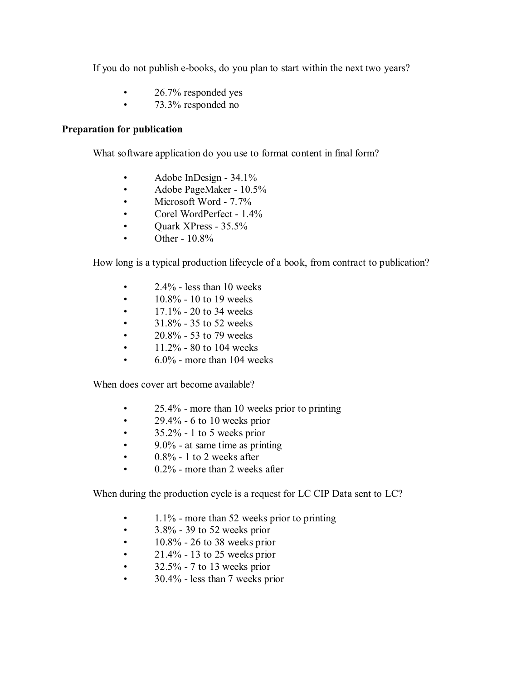If you do not publish e-books, do you plan to start within the next two years?

- 26.7% responded yes
- 73.3% responded no

### **Preparation for publication**

What software application do you use to format content in final form?

- Adobe InDesign 34.1%
- Adobe PageMaker 10.5%
- Microsoft Word 7.7%
- Corel WordPerfect 1.4%
- Quark XPress 35.5%
- Other  $10.8\%$

How long is a typical production lifecycle of a book, from contract to publication?

- $2.4\%$  less than 10 weeks
- 10.8% 10 to 19 weeks
- $17.1\%$  20 to 34 weeks
- $31.8\%$  35 to 52 weeks
- $20.8\%$  53 to 79 weeks
- $11.2\%$  80 to 104 weeks
- $\cdot$  6.0% more than 104 weeks

When does cover art become available?

- 25.4% more than 10 weeks prior to printing
- 29.4% 6 to 10 weeks prior
- $\cdot$  35.2% 1 to 5 weeks prior
- 9.0% at same time as printing
- $\cdot$  0.8% 1 to 2 weeks after
- 0.2% more than 2 weeks after

When during the production cycle is a request for LC CIP Data sent to LC?

- 1.1% more than 52 weeks prior to printing
- $\cdot$  3.8% 39 to 52 weeks prior
- $\cdot$  10.8% 26 to 38 weeks prior
- $21.4\%$  13 to 25 weeks prior
- $\cdot$  32.5% 7 to 13 weeks prior
- 30.4% less than 7 weeks prior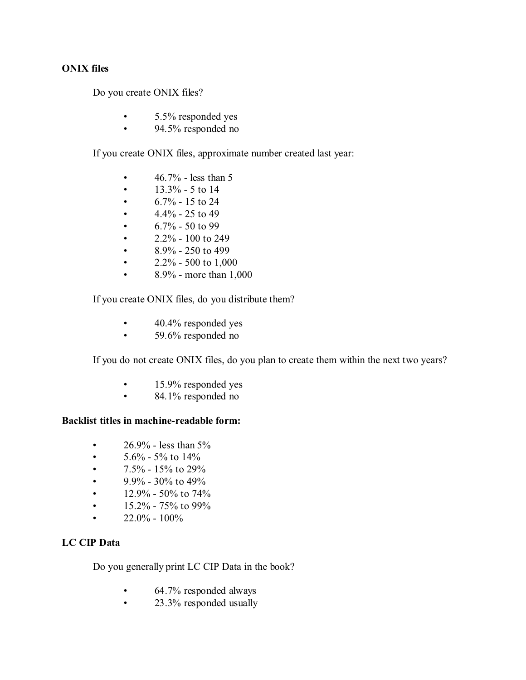### **ONIX files**

Do you create ONIX files?

- 5.5% responded yes
- 94.5% responded no

If you create ONIX files, approximate number created last year:

- $46.7\%$  less than 5
- $13.3\%$  5 to 14
- $6.7\% 15$  to 24
- $4.4\%$  25 to 49
- $6.7\%$  50 to 99
- $2.2\%$  100 to 249
- $8.9\%$  250 to 499
- $2.2\%$  500 to 1,000
- $8.9\%$  more than  $1,000$

If you create ONIX files, do you distribute them?

- 40.4% responded yes
- 59.6% responded no

If you do not create ONIX files, do you plan to create them within the next two years?

- 15.9% responded yes
- 84.1% responded no

### **Backlist titles in machine-readable form:**

- $26.9\%$  less than  $5\%$
- $5.6\%$  5% to 14%
- 7.5% 15% to 29%
- 9.9% 30% to 49%
- $12.9\%$  50% to 74%
- $15.2\%$  75% to 99%
- $22.0\% 100\%$

### **LC CIP Data**

Do you generally print LC CIP Data in the book?

- 64.7% responded always
- 23.3% responded usually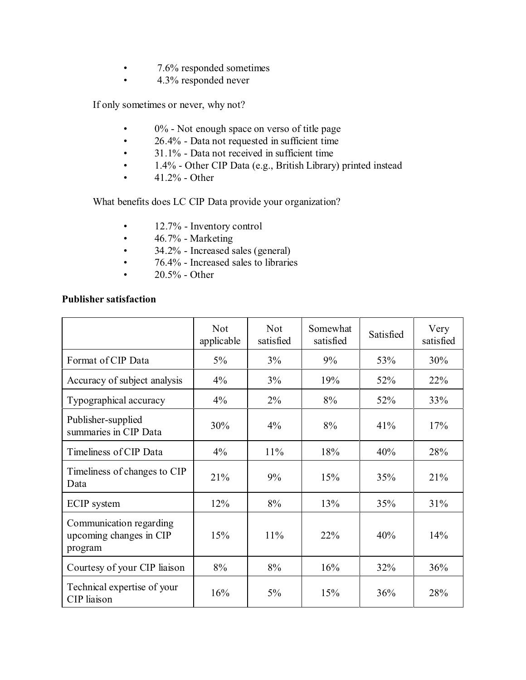- 7.6% responded sometimes
- 4.3% responded never

If only sometimes or never, why not?

- 0% Not enough space on verso of title page
- $26.4\%$  Data not requested in sufficient time<br>•  $31.1\%$  Data not received in sufficient time
- 31.1% Data not received in sufficient time
- 1.4% Other CIP Data (e.g., British Library) printed instead
- $41.2\%$  Other

What benefits does LC CIP Data provide your organization?

- 12.7% Inventory control
- $\cdot$  46.7% Marketing
- 34.2% Increased sales (general)
- 76.4% Increased sales to libraries
- $20.5\%$  Other

### **Publisher satisfaction**

|                                                               | <b>Not</b><br>applicable | <b>Not</b><br>satisfied | Somewhat<br>satisfied | Satisfied | Very<br>satisfied |
|---------------------------------------------------------------|--------------------------|-------------------------|-----------------------|-----------|-------------------|
| Format of CIP Data                                            | $5\%$                    | 3%                      | 9%                    | 53%       | 30%               |
| Accuracy of subject analysis                                  | 4%                       | 3%                      | 19%                   | 52%       | 22%               |
| Typographical accuracy                                        | 4%                       | $2\%$                   | 8%                    | 52%       | 33%               |
| Publisher-supplied<br>summaries in CIP Data                   | 30%                      | $4\%$                   | 8%                    | 41%       | 17%               |
| Timeliness of CIP Data                                        | 4%                       | 11%                     | 18%                   | 40%       | 28%               |
| Timeliness of changes to CIP<br>Data                          | 21%                      | 9%                      | 15%                   | 35%       | 21%               |
| <b>ECIP</b> system                                            | 12%                      | 8%                      | 13%                   | 35%       | 31%               |
| Communication regarding<br>upcoming changes in CIP<br>program | 15%                      | 11%                     | 22%                   | 40%       | 14%               |
| Courtesy of your CIP liaison                                  | 8%                       | 8%                      | 16%                   | 32%       | 36%               |
| Technical expertise of your<br>CIP liaison                    | 16%                      | 5%                      | 15%                   | 36%       | 28%               |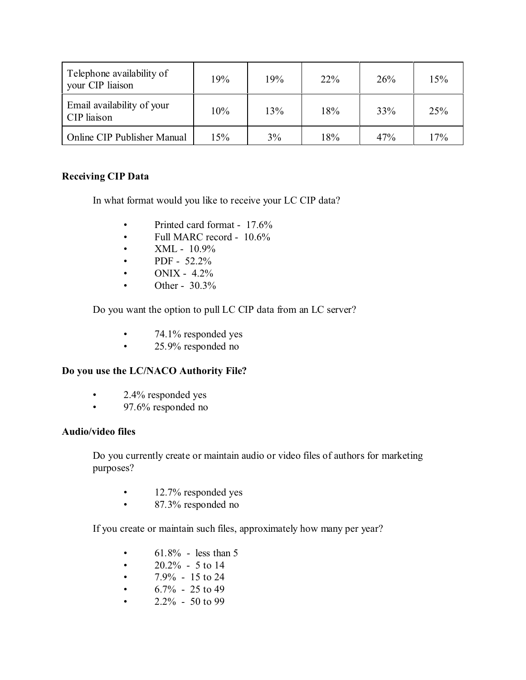| Telephone availability of<br>your CIP liaison | 19% | 19% | $22\%$ | 26% | 15% |
|-----------------------------------------------|-----|-----|--------|-----|-----|
| Email availability of your<br>CIP liaison     | 10% | 13% | 18%    | 33% | 25% |
| Online CIP Publisher Manual                   | 15% | 3%  | 18%    | 47% | 17% |

## **Receiving CIP Data**

In what format would you like to receive your LC CIP data?

- Printed card format 17.6%
- Full MARC record 10.6%
- $XML 10.9%$
- PDF  $52.2\%$
- ONIX  $4.2\%$
- Other  $30.3\%$

Do you want the option to pull LC CIP data from an LC server?

- 74.1% responded yes
- 25.9% responded no

## **Do you use the LC/NACO Authority File?**

- 2.4% responded yes
- 97.6% responded no

## **Audio/video files**

Do you currently create or maintain audio or video files of authors for marketing purposes?

- 12.7% responded yes
- 87.3% responded no

If you create or maintain such files, approximately how many per year?

- $61.8\%$  less than 5
- $20.2\%$  5 to 14
- $7.9\%$  15 to 24
- $6.7\%$  25 to 49
- $2.2\%$  50 to 99